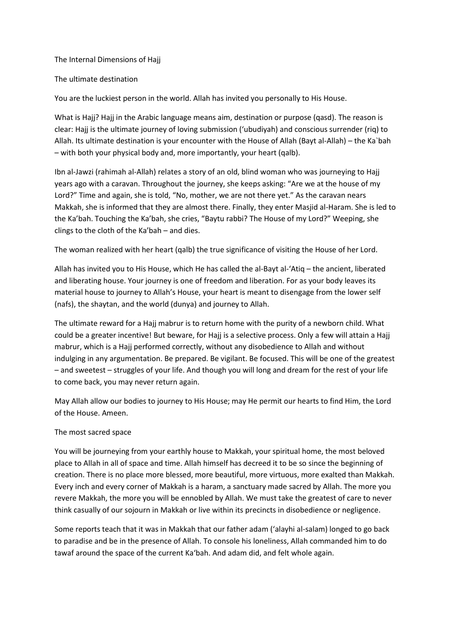The Internal Dimensions of Hajj

The ultimate destination

You are the luckiest person in the world. Allah has invited you personally to His House.

What is Hajj? Hajj in the Arabic language means aim, destination or purpose (qasd). The reason is clear: Hajj is the ultimate journey of loving submission ('ubudiyah) and conscious surrender (riq) to Allah. Its ultimate destination is your encounter with the House of Allah (Bayt al-Allah) – the Ka`bah – with both your physical body and, more importantly, your heart (qalb).

Ibn al-Jawzi (rahimah al-Allah) relates a story of an old, blind woman who was journeying to Hajj years ago with a caravan. Throughout the journey, she keeps asking: "Are we at the house of my Lord?" Time and again, she is told, "No, mother, we are not there yet." As the caravan nears Makkah, she is informed that they are almost there. Finally, they enter Masjid al-Haram. She is led to the Ka'bah. Touching the Ka'bah, she cries, "Baytu rabbi? The House of my Lord?" Weeping, she clings to the cloth of the Ka'bah – and dies.

The woman realized with her heart (qalb) the true significance of visiting the House of her Lord.

Allah has invited you to His House, which He has called the al-Bayt al-'Atiq – the ancient, liberated and liberating house. Your journey is one of freedom and liberation. For as your body leaves its material house to journey to Allah's House, your heart is meant to disengage from the lower self (nafs), the shaytan, and the world (dunya) and journey to Allah.

The ultimate reward for a Hajj mabrur is to return home with the purity of a newborn child. What could be a greater incentive! But beware, for Hajj is a selective process. Only a few will attain a Hajj mabrur, which is a Hajj performed correctly, without any disobedience to Allah and without indulging in any argumentation. Be prepared. Be vigilant. Be focused. This will be one of the greatest – and sweetest – struggles of your life. And though you will long and dream for the rest of your life to come back, you may never return again.

May Allah allow our bodies to journey to His House; may He permit our hearts to find Him, the Lord of the House. Ameen.

# The most sacred space

You will be journeying from your earthly house to Makkah, your spiritual home, the most beloved place to Allah in all of space and time. Allah himself has decreed it to be so since the beginning of creation. There is no place more blessed, more beautiful, more virtuous, more exalted than Makkah. Every inch and every corner of Makkah is a haram, a sanctuary made sacred by Allah. The more you revere Makkah, the more you will be ennobled by Allah. We must take the greatest of care to never think casually of our sojourn in Makkah or live within its precincts in disobedience or negligence.

Some reports teach that it was in Makkah that our father adam ('alayhi al-salam) longed to go back to paradise and be in the presence of Allah. To console his loneliness, Allah commanded him to do tawaf around the space of the current Ka'bah. And adam did, and felt whole again.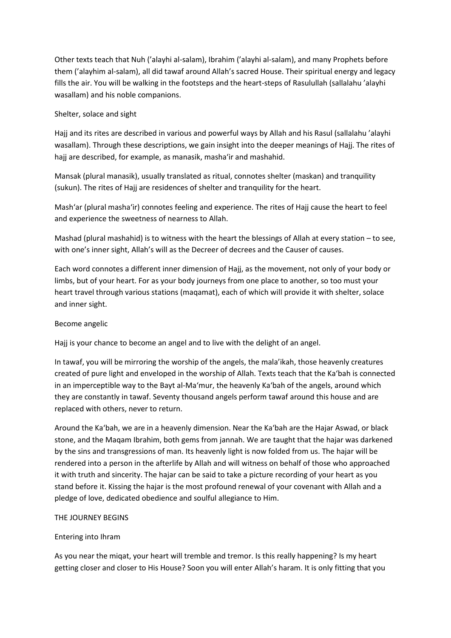Other texts teach that Nuh ('alayhi al-salam), Ibrahim ('alayhi al-salam), and many Prophets before them ('alayhim al-salam), all did tawaf around Allah's sacred House. Their spiritual energy and legacy fills the air. You will be walking in the footsteps and the heart-steps of Rasulullah (sallalahu 'alayhi wasallam) and his noble companions.

### Shelter, solace and sight

Hajj and its rites are described in various and powerful ways by Allah and his Rasul (sallalahu 'alayhi wasallam). Through these descriptions, we gain insight into the deeper meanings of Hajj. The rites of hajj are described, for example, as manasik, masha'ir and mashahid.

Mansak (plural manasik), usually translated as ritual, connotes shelter (maskan) and tranquility (sukun). The rites of Hajj are residences of shelter and tranquility for the heart.

Mash'ar (plural masha'ir) connotes feeling and experience. The rites of Hajj cause the heart to feel and experience the sweetness of nearness to Allah.

Mashad (plural mashahid) is to witness with the heart the blessings of Allah at every station – to see, with one's inner sight, Allah's will as the Decreer of decrees and the Causer of causes.

Each word connotes a different inner dimension of Hajj, as the movement, not only of your body or limbs, but of your heart. For as your body journeys from one place to another, so too must your heart travel through various stations (maqamat), each of which will provide it with shelter, solace and inner sight.

# Become angelic

Hajj is your chance to become an angel and to live with the delight of an angel.

In tawaf, you will be mirroring the worship of the angels, the mala'ikah, those heavenly creatures created of pure light and enveloped in the worship of Allah. Texts teach that the Ka'bah is connected in an imperceptible way to the Bayt al-Ma'mur, the heavenly Ka'bah of the angels, around which they are constantly in tawaf. Seventy thousand angels perform tawaf around this house and are replaced with others, never to return.

Around the Ka'bah, we are in a heavenly dimension. Near the Ka'bah are the Hajar Aswad, or black stone, and the Maqam Ibrahim, both gems from jannah. We are taught that the hajar was darkened by the sins and transgressions of man. Its heavenly light is now folded from us. The hajar will be rendered into a person in the afterlife by Allah and will witness on behalf of those who approached it with truth and sincerity. The hajar can be said to take a picture recording of your heart as you stand before it. Kissing the hajar is the most profound renewal of your covenant with Allah and a pledge of love, dedicated obedience and soulful allegiance to Him.

#### THE JOURNEY BEGINS

#### Entering into Ihram

As you near the miqat, your heart will tremble and tremor. Is this really happening? Is my heart getting closer and closer to His House? Soon you will enter Allah's haram. It is only fitting that you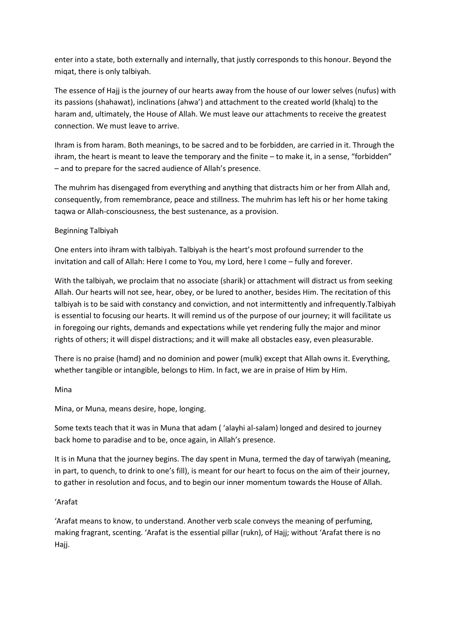enter into a state, both externally and internally, that justly corresponds to this honour. Beyond the miqat, there is only talbiyah.

The essence of Hajj is the journey of our hearts away from the house of our lower selves (nufus) with its passions (shahawat), inclinations (ahwa') and attachment to the created world (khalq) to the haram and, ultimately, the House of Allah. We must leave our attachments to receive the greatest connection. We must leave to arrive.

Ihram is from haram. Both meanings, to be sacred and to be forbidden, are carried in it. Through the ihram, the heart is meant to leave the temporary and the finite – to make it, in a sense, "forbidden" – and to prepare for the sacred audience of Allah's presence.

The muhrim has disengaged from everything and anything that distracts him or her from Allah and, consequently, from remembrance, peace and stillness. The muhrim has left his or her home taking taqwa or Allah-consciousness, the best sustenance, as a provision.

# Beginning Talbiyah

One enters into ihram with talbiyah. Talbiyah is the heart's most profound surrender to the invitation and call of Allah: Here I come to You, my Lord, here I come – fully and forever.

With the talbiyah, we proclaim that no associate (sharik) or attachment will distract us from seeking Allah. Our hearts will not see, hear, obey, or be lured to another, besides Him. The recitation of this talbiyah is to be said with constancy and conviction, and not intermittently and infrequently.Talbiyah is essential to focusing our hearts. It will remind us of the purpose of our journey; it will facilitate us in foregoing our rights, demands and expectations while yet rendering fully the major and minor rights of others; it will dispel distractions; and it will make all obstacles easy, even pleasurable.

There is no praise (hamd) and no dominion and power (mulk) except that Allah owns it. Everything, whether tangible or intangible, belongs to Him. In fact, we are in praise of Him by Him.

Mina

Mina, or Muna, means desire, hope, longing.

Some texts teach that it was in Muna that adam ( 'alayhi al-salam) longed and desired to journey back home to paradise and to be, once again, in Allah's presence.

It is in Muna that the journey begins. The day spent in Muna, termed the day of tarwiyah (meaning, in part, to quench, to drink to one's fill), is meant for our heart to focus on the aim of their journey, to gather in resolution and focus, and to begin our inner momentum towards the House of Allah.

# 'Arafat

'Arafat means to know, to understand. Another verb scale conveys the meaning of perfuming, making fragrant, scenting. 'Arafat is the essential pillar (rukn), of Hajj; without 'Arafat there is no Hajj.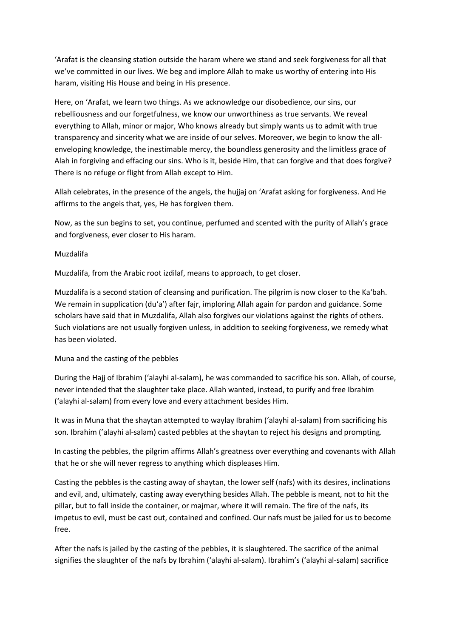'Arafat is the cleansing station outside the haram where we stand and seek forgiveness for all that we've committed in our lives. We beg and implore Allah to make us worthy of entering into His haram, visiting His House and being in His presence.

Here, on 'Arafat, we learn two things. As we acknowledge our disobedience, our sins, our rebelliousness and our forgetfulness, we know our unworthiness as true servants. We reveal everything to Allah, minor or major, Who knows already but simply wants us to admit with true transparency and sincerity what we are inside of our selves. Moreover, we begin to know the allenveloping knowledge, the inestimable mercy, the boundless generosity and the limitless grace of Alah in forgiving and effacing our sins. Who is it, beside Him, that can forgive and that does forgive? There is no refuge or flight from Allah except to Him.

Allah celebrates, in the presence of the angels, the hujjaj on 'Arafat asking for forgiveness. And He affirms to the angels that, yes, He has forgiven them.

Now, as the sun begins to set, you continue, perfumed and scented with the purity of Allah's grace and forgiveness, ever closer to His haram.

### Muzdalifa

Muzdalifa, from the Arabic root izdilaf, means to approach, to get closer.

Muzdalifa is a second station of cleansing and purification. The pilgrim is now closer to the Ka'bah. We remain in supplication (du'a') after fajr, imploring Allah again for pardon and guidance. Some scholars have said that in Muzdalifa, Allah also forgives our violations against the rights of others. Such violations are not usually forgiven unless, in addition to seeking forgiveness, we remedy what has been violated.

# Muna and the casting of the pebbles

During the Hajj of Ibrahim ('alayhi al-salam), he was commanded to sacrifice his son. Allah, of course, never intended that the slaughter take place. Allah wanted, instead, to purify and free Ibrahim ('alayhi al-salam) from every love and every attachment besides Him.

It was in Muna that the shaytan attempted to waylay Ibrahim ('alayhi al-salam) from sacrificing his son. Ibrahim ('alayhi al-salam) casted pebbles at the shaytan to reject his designs and prompting.

In casting the pebbles, the pilgrim affirms Allah's greatness over everything and covenants with Allah that he or she will never regress to anything which displeases Him.

Casting the pebbles is the casting away of shaytan, the lower self (nafs) with its desires, inclinations and evil, and, ultimately, casting away everything besides Allah. The pebble is meant, not to hit the pillar, but to fall inside the container, or majmar, where it will remain. The fire of the nafs, its impetus to evil, must be cast out, contained and confined. Our nafs must be jailed for us to become free.

After the nafs is jailed by the casting of the pebbles, it is slaughtered. The sacrifice of the animal signifies the slaughter of the nafs by Ibrahim ('alayhi al-salam). Ibrahim's ('alayhi al-salam) sacrifice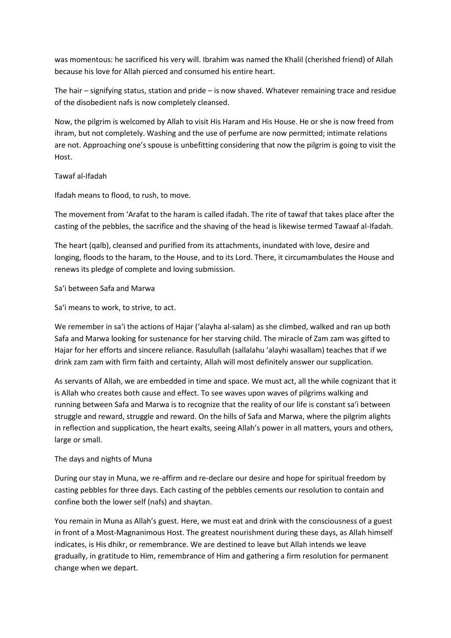was momentous: he sacrificed his very will. Ibrahim was named the Khalil (cherished friend) of Allah because his love for Allah pierced and consumed his entire heart.

The hair – signifying status, station and pride – is now shaved. Whatever remaining trace and residue of the disobedient nafs is now completely cleansed.

Now, the pilgrim is welcomed by Allah to visit His Haram and His House. He or she is now freed from ihram, but not completely. Washing and the use of perfume are now permitted; intimate relations are not. Approaching one's spouse is unbefitting considering that now the pilgrim is going to visit the Host.

### Tawaf al-Ifadah

Ifadah means to flood, to rush, to move.

The movement from 'Arafat to the haram is called ifadah. The rite of tawaf that takes place after the casting of the pebbles, the sacrifice and the shaving of the head is likewise termed Tawaaf al-Ifadah.

The heart (qalb), cleansed and purified from its attachments, inundated with love, desire and longing, floods to the haram, to the House, and to its Lord. There, it circumambulates the House and renews its pledge of complete and loving submission.

### Sa'i between Safa and Marwa

Sa'i means to work, to strive, to act.

We remember in sa'i the actions of Hajar ('alayha al-salam) as she climbed, walked and ran up both Safa and Marwa looking for sustenance for her starving child. The miracle of Zam zam was gifted to Hajar for her efforts and sincere reliance. Rasulullah (sallalahu 'alayhi wasallam) teaches that if we drink zam zam with firm faith and certainty, Allah will most definitely answer our supplication.

As servants of Allah, we are embedded in time and space. We must act, all the while cognizant that it is Allah who creates both cause and effect. To see waves upon waves of pilgrims walking and running between Safa and Marwa is to recognize that the reality of our life is constant sa'i between struggle and reward, struggle and reward. On the hills of Safa and Marwa, where the pilgrim alights in reflection and supplication, the heart exalts, seeing Allah's power in all matters, yours and others, large or small.

# The days and nights of Muna

During our stay in Muna, we re-affirm and re-declare our desire and hope for spiritual freedom by casting pebbles for three days. Each casting of the pebbles cements our resolution to contain and confine both the lower self (nafs) and shaytan.

You remain in Muna as Allah's guest. Here, we must eat and drink with the consciousness of a guest in front of a Most-Magnanimous Host. The greatest nourishment during these days, as Allah himself indicates, is His dhikr, or remembrance. We are destined to leave but Allah intends we leave gradually, in gratitude to Him, remembrance of Him and gathering a firm resolution for permanent change when we depart.